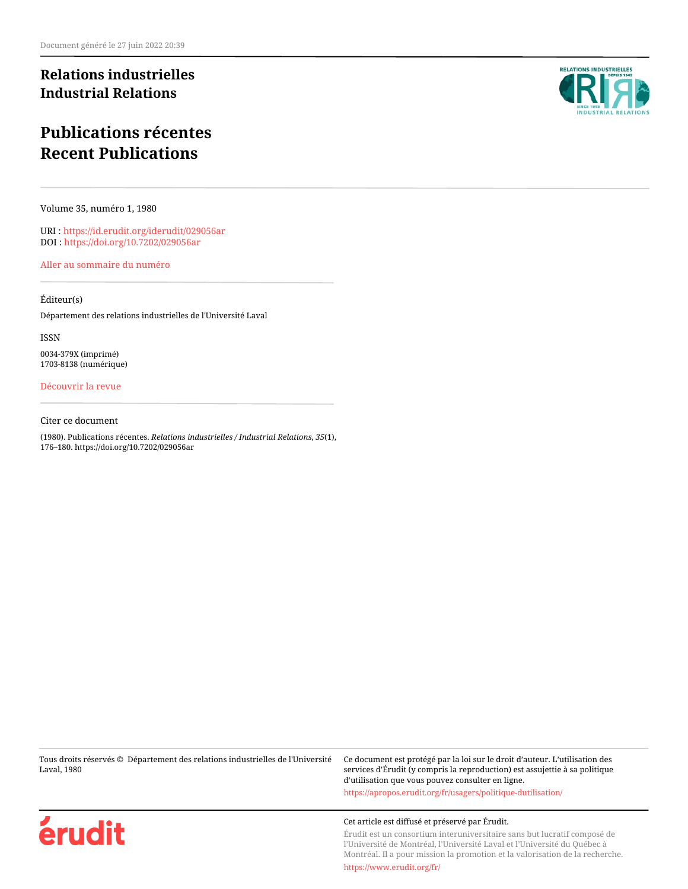## **Relations industrielles Industrial Relations**

# **Publications récentes Recent Publications**

Volume 35, numéro 1, 1980

URI :<https://id.erudit.org/iderudit/029056ar> DOI :<https://doi.org/10.7202/029056ar>

[Aller au sommaire du numéro](https://www.erudit.org/fr/revues/ri/1980-v35-n1-ri2849/)

### Éditeur(s)

Département des relations industrielles de l'Université Laval

ISSN

0034-379X (imprimé) 1703-8138 (numérique)

## [Découvrir la revue](https://www.erudit.org/fr/revues/ri/)

#### Citer ce document

(1980). Publications récentes. *Relations industrielles / Industrial Relations*, *35*(1), 176–180. https://doi.org/10.7202/029056ar

Tous droits réservés © Département des relations industrielles de l'Université Laval, 1980

Ce document est protégé par la loi sur le droit d'auteur. L'utilisation des services d'Érudit (y compris la reproduction) est assujettie à sa politique d'utilisation que vous pouvez consulter en ligne. <https://apropos.erudit.org/fr/usagers/politique-dutilisation/>

#### Cet article est diffusé et préservé par Érudit.

Érudit est un consortium interuniversitaire sans but lucratif composé de l'Université de Montréal, l'Université Laval et l'Université du Québec à Montréal. Il a pour mission la promotion et la valorisation de la recherche.

<https://www.erudit.org/fr/>



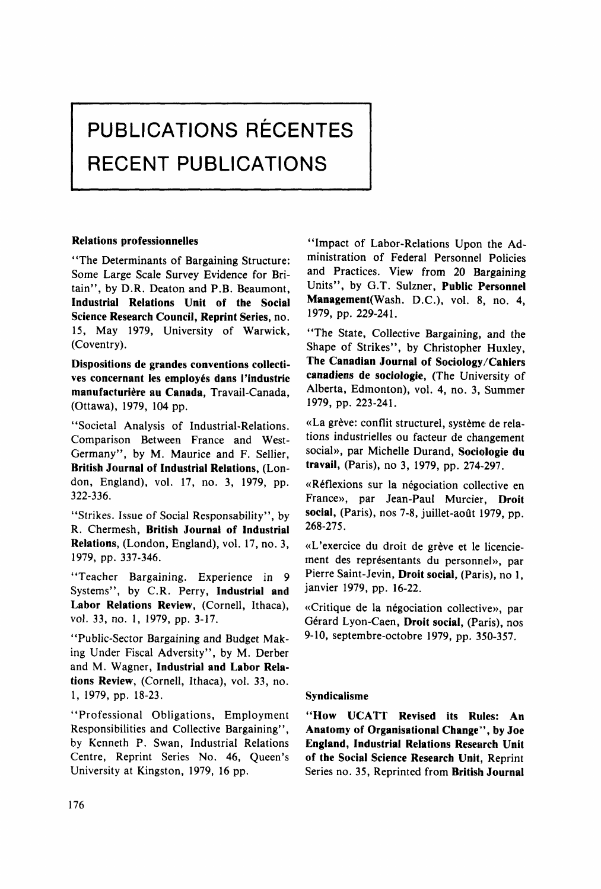# **PUBLICATIONS RECENTES RECENT PUBLICATIONS**

#### **Relations professionnelles**

"The Determinants of Bargaining Structure: Some Large Scale Survey Evidence for Britain", by D.R. Deaton and P.B. Beaumont, **Industrial Relations Unit of the Social Science Research Council, Reprint Séries,** no. 15, May 1979, University of Warwick, (Coventry).

**Dispositions de grandes conventions collectives concernant les employés dans l'industrie manufacturière au Canada,** Travail-Canada, (Ottawa), 1979, 104 pp.

"Societal Analysis of Industrial-Relations. Comparison Between France and West-Germany", by M. Maurice and F. Sellier, **British Journal of Industrial Relations,** (London, England), vol. 17, no. 3, 1979, pp. 322-336.

"Strikes. Issue of Social Responsability", by R. Chermesh, **British Journal of Industrial Relations,** (London, England), vol. 17, no. 3, 1979, pp. 337-346.

"Teacher Bargaining. Experience in 9 Systems", by C.R. Perry, **Industrial and Labor Relations Review,** (Cornell, Ithaca), vol. 33, no. 1, 1979, pp. 3-17.

"Public-Sector Bargaining and Budget Making Under Fiscal Adversity", by M. Derber and M. Wagner, **Industrial and Labor Relations Review,** (Cornell, Ithaca), vol. 33, no. 1, 1979, pp. 18-23.

"Professional Obligations, Employment Responsibilities and Collective Bargaining", by Kenneth P. Swan, Industrial Relations Centre, Reprint Series No. 46, Queen's University at Kingston, 1979, 16 pp.

"Impact of Labor-Relations Upon the Administration of Fédéral Personnel Policies and Practices. View from 20 Bargaining Units", by G.T. Sulzner, **Public Personnel Management**Wash. D.C.), vol. 8, no. 4, 1979, pp. 229-241.

"The State, Collective Bargaining, and the Shape of Strikes", by Christopher Huxley, **The Canadian Journal of Sociology/Cahiers canadiens de sociologie,** (The University of Alberta, Edmonton), vol. 4, no. 3, Summer 1979, pp. 223-241.

«La grève: conflit structurel, système de relations industrielles ou facteur de changement social», par Michelle Durand, **Sociologie du travail,** (Paris), no 3, 1979, pp. 274-297.

«Réflexions sur la négociation collective en France», par Jean-Paul Murcier, **Droit social,** (Paris), nos 7-8, juillet-août 1979, pp. 268-275.

«L'exercice du droit de grève et le licenciement des représentants du personnel», par Pierre Saint-Jevin, **Droit social,** (Paris), no 1, janvier 1979, pp. 16-22.

«Critique de la négociation collective», par Gérard Lyon-Caen, **Droit social,** (Paris), nos 9-10, septembre-octobre 1979, pp. 350-357.

#### **Syndicalisme**

**"How UCATT Revised its Rules: An Anatomy of Organisational Change", by Joe England, Industrial Relations Research Unit of the Social Science Research Unit,** Reprint Séries no. 35, Reprinted from **British Journal**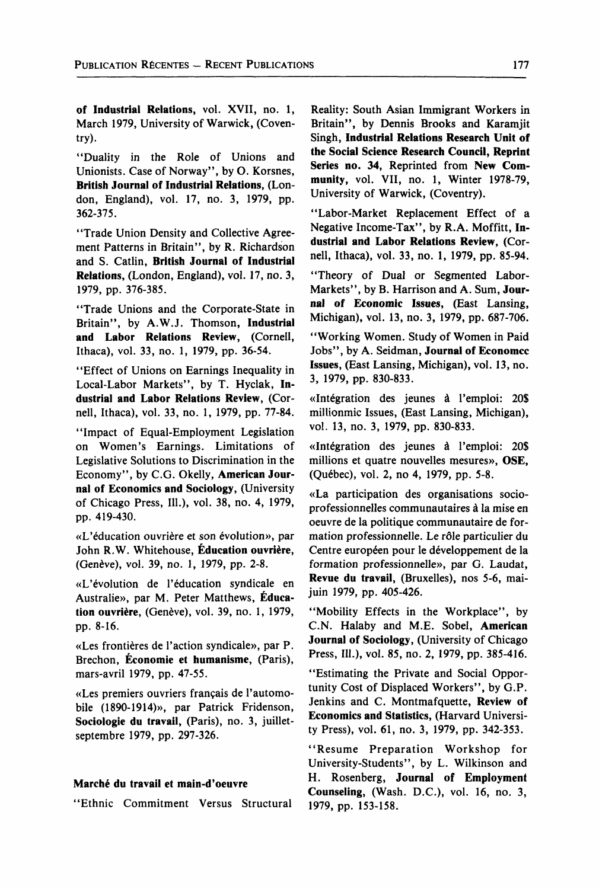**of Industrial Relations,** vol. XVII, no. 1, March 1979, University of Warwick, (Coventry).

"Duality in the Rôle of Unions and Unionists. Case of Norway", by O. Korsnes, **British Journal of Industrial Relations,** (London, England), vol. 17, no. 3, 1979, pp. 362-375.

"Trade Union Density and Collective Agreement Patterns in Britain", by R. Richardson and S. Catlin, **British Journal of Industrial Relations,** (London, England), vol. 17, no. 3, 1979, pp. 376-385.

"Trade Unions and the Corporate-State in Britain", by A.W.J. Thomson, **Industrial and Labor Relations Review,** (Cornell, Ithaca), vol. 33, no. 1, 1979, pp. 36-54.

"Effect of Unions on Earnings Inequality in Local-Labor Markets", by T. Hyclak, **Industrial and Labor Relations Review,** (Cornell, Ithaca), vol. 33, no. 1, 1979, pp. 77-84.

"Impact of Equal-Employment Legislation on Women's Earnings. Limitations of Legislative Solutions to Discrimination in the Economy", by C.G. Okelly, **American Journal of Economies and Sociology,** (University of Chicago Press, 111.), vol. 38, no. 4, 1979, pp. 419-430.

«L'éducation ouvrière et son évolution», par John R.W. Whitehouse, **Éducation ouvrière,**  (Genève), vol. 39, no. 1, 1979, pp. 2-8.

«L'évolution de l'éducation syndicale en Australie», par M. Peter Matthews, **Éducation ouvrière,** (Genève), vol. 39, no. 1, 1979, pp. 8-16.

«Les frontières de l'action syndicale», par P. Brechon, **Économie et humanisme,** (Paris), mars-avril 1979, pp. 47-55.

«Les premiers ouvriers français de l'automobile (1890-1914)», par Patrick Fridenson, **Sociologie du travail,** (Paris), no. 3, juilletseptembre 1979, pp. 297-326.

#### **Marché du travail et main-d'oeuvre**

"Ethnie Commitment Versus Structural

Reality: South Asian Immigrant Workers in Britain", by Dennis Brooks and Karamjit Singh, **Industrial Relations Research Unit of the Social Science Research Council, Reprint**  Series no. 34, Reprinted from New Com**munity,** vol. VII, no. 1, Winter 1978-79, University of Warwick, (Coventry).

"Labor-Market Replacement Effect of a Négative Income-Tax", by R.A. Moffitt, **Industrial and Labor Relations Review,** (Cornell, Ithaca), vol. 33, no. 1, 1979, pp. 85-94.

"Theory of Dual or Segmented Labor-Markets", by B. Harrison and A. Sum, **Journal of Economie Issues,** (East Lansing, Michigan), vol. 13, no. 3, 1979, pp. 687-706.

"Working Women. Study of Women in Paid Jobs", by A. Seidman, **Journal of Economcc Issues,** (East Lansing, Michigan), vol. 13, no. 3, 1979, pp. 830-833.

«Intégration des jeunes à l'emploi: 20\$ millionmic Issues, (East Lansing, Michigan), vol. 13, no. 3, 1979, pp. 830-833.

«Intégration des jeunes à l'emploi: 20\$ millions et quatre nouvelles mesures», OSE, (Québec), vol. 2, no 4, 1979, pp. 5-8.

«La participation des organisations socioprofessionnelles communautaires à la mise en oeuvre de la politique communautaire de formation professionnelle. Le rôle particulier du Centre européen pour le développement de la formation professionnelle», par G. Laudat, **Revue du travail,** (Bruxelles), nos 5-6, maijuin 1979, pp. 405-426.

"Mobility Effects in the Workplace", by C.N. Halaby and M.E. Sobel, **American Journal of Sociology,** (University of Chicago Press, 111.), vol. 85, no. 2, 1979, pp. 385-416.

"Estimating the Private and Social Opportunity Cost of Displaced Workers", by G.P. Jenkins and C. Montmafquette, **Review of Economies and Statistics,** (Harvard University Press), vol. 61, no. 3, 1979, pp. 342-353.

"Résume Préparation Workshop for University-Students", by L. Wilkinson and H. Rosenberg, **Journal of Employment Counseling,** (Wash. D.C.), vol. 16, no. 3, 1979, pp. 153-158.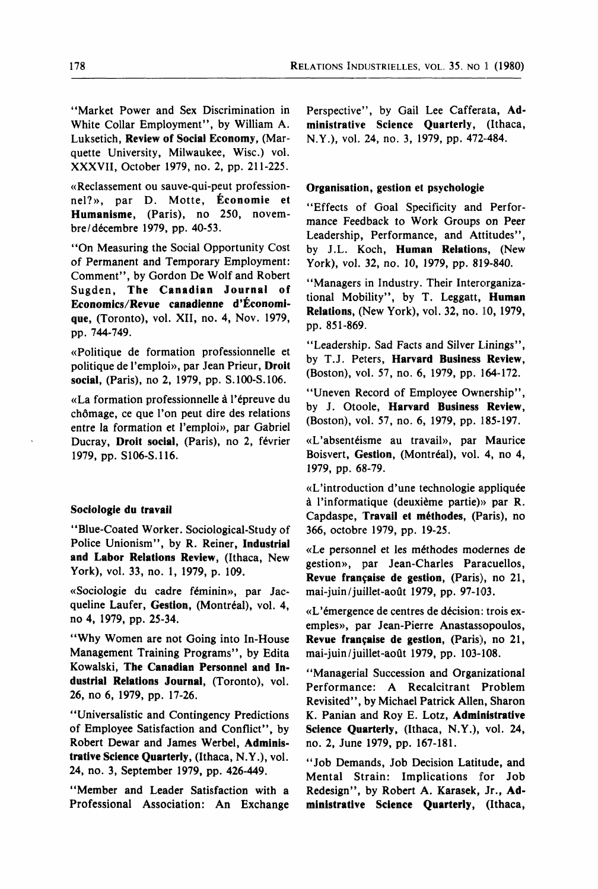"Market Power and Sex Discrimination in White Collar Employment", by William A. Luksetich, **Review of Social Economy,** (Marquette University, Milwaukee, Wisc.) vol. XXXVII, October 1979, no. 2, pp. 211-225.

«Reclassement ou sauve-qui-peut professionnel?», par D. Motte, **Économie et Humanisme,** (Paris), no 250, novembre/décembre 1979, pp. 40-53.

"On Measuring the Social Opportunity Cost of Permanent and Temporary Employment: Comment", by Gordon De Wolf and Robert Sugden, **The Canadian Journal of Economies/Revue canadienne d'Économique,** (Toronto), vol. XII, no. 4, Nov. 1979, pp. 744-749.

«Politique de formation professionnelle et politique de l'emploi», par Jean Prieur, **Droit social,** (Paris), no 2, 1979, pp. S.100-S.106.

«La formation professionnelle à l'épreuve du chômage, ce que l'on peut dire des relations entre la formation et l'emploi», par Gabriel Ducray, **Droit social,** (Paris), no 2, février 1979, pp. S106-S.116.

#### **Sociologie du travail**

"Blue-Coated Worker. Sociological-Study of Police Unionism", by R. Reiner, **Industrial and Labor Relations Review,** (Ithaca, New York), vol. 33, no. 1, 1979, p. 109.

«Sociologie du cadre féminin», par Jacqueline Laufer, **Gestion,** (Montréal), vol. 4, no 4, 1979, pp. 25-34.

"Why Women are not Going into In-House Management Training Programs", by Edita Kowalski, **The Canadian Personnel and Industrial Relations Journal,** (Toronto), vol. 26, no 6, 1979, pp. 17-26.

"Universalistic and Contingency Predictions" of Employee Satisfaction and Conflict", by Robert Dewar and James Werbel, **Administrative Science Quarterly,** (Ithaca, N.Y.), vol. 24, no. 3, September 1979, pp. 426-449.

"Member and Leader Satisfaction with a Professional Association: An Exchange Perspective", by Gail Lee Cafferata, **Administrative Science Quarterly,** (Ithaca, N.Y.), vol. 24, no. 3, 1979, pp. 472-484.

#### **Organisation, gestion et psychologie**

"Effects of Goal Specificity and Performance Feedback to Work Groups on Peer Leadership, Performance, and Attitudes", by J.L. Koch, **Human Relations,** (New York), vol. 32, no. 10, 1979, pp. 819-840.

"Managers in Industry. Their Interorganizational Mobility", by T. Leggatt, **Human Relations,** (New York), vol. 32, no. 10, 1979, pp. 851-869.

"Leadership. Sad Facts and Silver Linings", by T.J. Peters, **Harvard Business Review**, (Boston), vol. 57, no. 6, 1979, pp. 164-172.

"Uneven Record of Employee Ownership", by J. Otoole, **Harvard Business Review,**  (Boston), vol. 57, no. 6, 1979, pp. 185-197.

«L'absentéisme au travail», par Maurice Bois vert, **Gestion,** (Montréal), vol. 4, no 4, 1979, pp. 68-79.

«L'introduction d'une technologie appliquée à l'informatique (deuxième partie)» par R. Capdaspe, **Travail et méthodes,** (Paris), no 366, octobre 1979, pp. 19-25.

«Le personnel et les méthodes modernes de gestion», par Jean-Charles Paracuellos, **Revue française de gestion,** (Paris), no 21, mai-juin/juillet-août 1979, pp. 97-103.

«L'émergence de centres de décision: trois exemples», par Jean-Pierre Anastassopoulos, **Revue française de gestion,** (Paris), no 21, mai-juin/juillet-août 1979, pp. 103-108.

"Managerial Succession and Organizational Performance: A Récalcitrant Problem Revisited", by Michael Patrick Allen, Sharon K. Panian and Roy E. Lotz, **Administrative Science Quarterly,** (Ithaca, N.Y.), vol. 24, no. 2, June 1979, pp. 167-181.

"Job Demands, Job Decision Latitude, and Mental Strain: Implications for Job Redesign", by Robert A. Karasek, Jr., **Administrative Science Quarterly,** (Ithaca,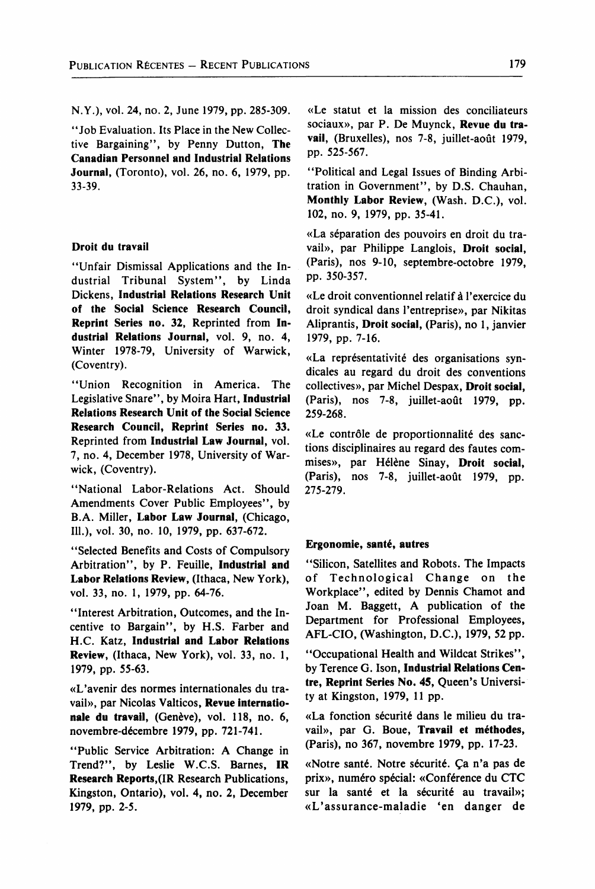N.Y.), vol. 24, no. 2, June 1979, pp. 285-309.

"Job Evaluation. Its Place in the New Collective Bargaining", by Penny Dutton, **The Canadian Personnel and Industrial Relations Journal,** (Toronto), vol. 26, no. 6, 1979, pp. 33-39.

#### **Droit du travail**

"Unfair Dismissal Applications and the Industrial Tribunal System", by Linda Dickens, **Industrial Relations Research Unit of the Social Science Research Council, Reprint Series no. 32. Reprinted from Industrial Relations Journal,** vol. 9, no. **4,**  Winter 1978-79, University of Warwick, (Coventry).

"Union Récognition in America. The Législative Snare", by Moira Hart, **Industrial Relations Research Unit of the Social Science Research Council, Reprint Séries no.** 33. Reprinted from **Industrial Law Journal,** vol. 7, no. 4, December 1978, University of Warwick, (Coventry).

"National Labor-Relations Act. Should Amendments Cover Public Employees", by B.A. Miller, **Labor Law Journal,** (Chicago, 111.), vol. 30, no. 10, 1979, pp. 637-672.

"Selected Benefits and Costs of Compulsory Arbitration", by P. Feuille, **Industrial and Labor Relations Review,** (Ithaca, New York), vol. 33, no. 1, 1979, pp. 64-76.

"Interest Arbitration, Outcomes, and the Incentive to Bargain", by H.S. Farber and H.C. Katz, **Industrial and Labor Relations Review,** (Ithaca, New York), vol. 33, no. 1, 1979, pp. 55-63.

«L'avenir des normes internationales du travail», par Nicolas Valticos, **Revue internationale du travail,** (Genève), vol. 118, no. 6, novembre-décembre 1979, pp. 721-741.

"Public Service Arbitration: A Change in Trend?", by Leslie W.C.S. Barnes, **IR Research Reports,**(IR Research Publications, Kingston, Ontario), vol. 4, no. 2, December 1979, pp. 2-5.

«Le statut et la mission des conciliateurs sociaux», par P. De Muynck, **Revue du travail,** (Bruxelles), nos 7-8, juillet-août 1979, pp. 525-567.

"Political and Legal Issues of Binding Arbitration in Government", by D.S. Chauhan, **Monthly Labor Review,** (Wash. D.C.), vol. 102, no. 9, 1979, pp. 35-41.

«La séparation des pouvoirs en droit du travail», par Philippe Langlois, **Droit social,**  (Paris), nos 9-10, septembre-octobre 1979, pp. 350-357.

«Le droit conventionnel relatif à l'exercice du droit syndical dans l'entreprise», par Nikitas Aliprantis, **Droit social,** (Paris), no 1, janvier 1979, pp. 7-16.

«La représentativité des organisations syndicales au regard du droit des conventions collectives», par Michel Despax, **Droit social,**  (Paris), nos 7-8, juillet-août 1979, pp. 259-268.

«Le contrôle de proportionnalité des sanctions disciplinaires au regard des fautes commises», par Hélène Sinay, **Droit social,**  (Paris), nos 7-8, juillet-août 1979, pp. 275-279.

#### **Ergonomie, santé, autres**

"Silicon, Satellites and Robots. The Impacts of Technological Change on the Workplace", edited by Dennis Chamot and Joan M. Baggett, A publication of the Department for Professional Employees, AFL-CIO, (Washington, D.C.), 1979, 52 pp.

"Occupational Health and Wildcat Strikes", by Terence G. Ison, **Industrial Relations Centre, Reprint Séries No. 45,** Queen's University at Kingston, 1979, 11 pp.

«La fonction sécurité dans le milieu du travail», par G. Boue, **Travail et méthodes,**  (Paris), no 367, novembre 1979, pp. 17-23.

«Notre santé. Notre sécurité. Ça n'a pas de prix», numéro spécial: «Conférence du CTC sur la santé et la sécurité au travail»; «L'assurance-maladie 'en danger de